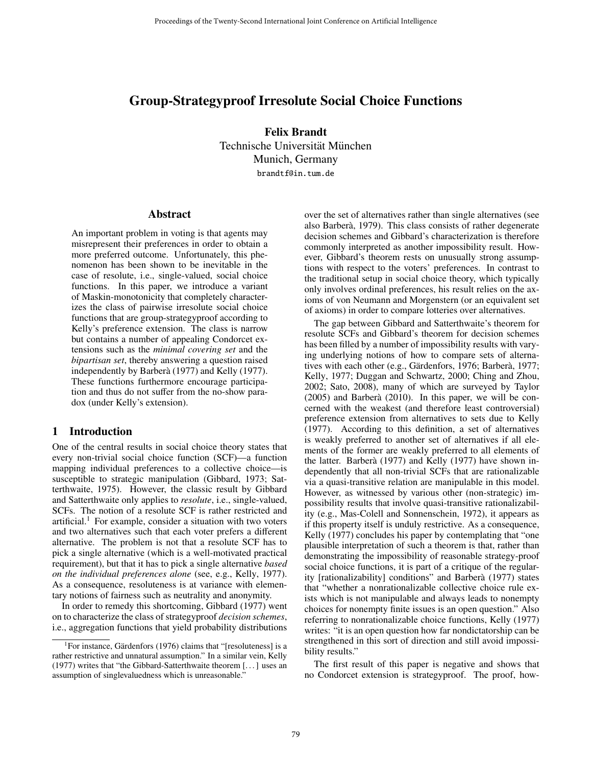# Group-Strategyproof Irresolute Social Choice Functions

Felix Brandt Technische Universität München Munich, Germany brandtf@in.tum.de

#### Abstract

An important problem in voting is that agents may misrepresent their preferences in order to obtain a more preferred outcome. Unfortunately, this phenomenon has been shown to be inevitable in the case of resolute, i.e., single-valued, social choice functions. In this paper, we introduce a variant of Maskin-monotonicity that completely characterizes the class of pairwise irresolute social choice functions that are group-strategyproof according to Kelly's preference extension. The class is narrow but contains a number of appealing Condorcet extensions such as the *minimal covering set* and the *bipartisan set*, thereby answering a question raised independently by Barberà (1977) and Kelly (1977). These functions furthermore encourage participation and thus do not suffer from the no-show paradox (under Kelly's extension).

## 1 Introduction

One of the central results in social choice theory states that every non-trivial social choice function (SCF)—a function mapping individual preferences to a collective choice—is susceptible to strategic manipulation (Gibbard, 1973; Satterthwaite, 1975). However, the classic result by Gibbard and Satterthwaite only applies to *resolute*, i.e., single-valued, SCFs. The notion of a resolute SCF is rather restricted and artificial.<sup>1</sup> For example, consider a situation with two voters and two alternatives such that each voter prefers a different alternative. The problem is not that a resolute SCF has to pick a single alternative (which is a well-motivated practical requirement), but that it has to pick a single alternative *based on the individual preferences alone* (see, e.g., Kelly, 1977). As a consequence, resoluteness is at variance with elementary notions of fairness such as neutrality and anonymity.

In order to remedy this shortcoming, Gibbard (1977) went on to characterize the class of strategyproof *decision schemes*, i.e., aggregation functions that yield probability distributions over the set of alternatives rather than single alternatives (see also Barbera, 1979). This class consists of rather degenerate ` decision schemes and Gibbard's characterization is therefore commonly interpreted as another impossibility result. However, Gibbard's theorem rests on unusually strong assumptions with respect to the voters' preferences. In contrast to the traditional setup in social choice theory, which typically only involves ordinal preferences, his result relies on the axioms of von Neumann and Morgenstern (or an equivalent set of axioms) in order to compare lotteries over alternatives.

The gap between Gibbard and Satterthwaite's theorem for resolute SCFs and Gibbard's theorem for decision schemes has been filled by a number of impossibility results with varying underlying notions of how to compare sets of alternatives with each other (e.g., Gärdenfors, 1976; Barberà, 1977; Kelly, 1977; Duggan and Schwartz, 2000; Ching and Zhou, 2002; Sato, 2008), many of which are surveyed by Taylor  $(2005)$  and Barberà  $(2010)$ . In this paper, we will be concerned with the weakest (and therefore least controversial) preference extension from alternatives to sets due to Kelly (1977). According to this definition, a set of alternatives is weakly preferred to another set of alternatives if all elements of the former are weakly preferred to all elements of the latter. Barberà (1977) and Kelly (1977) have shown independently that all non-trivial SCFs that are rationalizable via a quasi-transitive relation are manipulable in this model. However, as witnessed by various other (non-strategic) impossibility results that involve quasi-transitive rationalizability (e.g., Mas-Colell and Sonnenschein, 1972), it appears as if this property itself is unduly restrictive. As a consequence, Kelly (1977) concludes his paper by contemplating that "one plausible interpretation of such a theorem is that, rather than demonstrating the impossibility of reasonable strategy-proof social choice functions, it is part of a critique of the regularity [rationalizability] conditions" and Barberà (1977) states that "whether a nonrationalizable collective choice rule exists which is not manipulable and always leads to nonempty choices for nonempty finite issues is an open question." Also referring to nonrationalizable choice functions, Kelly (1977) writes: "it is an open question how far nondictatorship can be strengthened in this sort of direction and still avoid impossibility results."

The first result of this paper is negative and shows that no Condorcet extension is strategyproof. The proof, how-

<sup>&</sup>lt;sup>1</sup>For instance, Gärdenfors (1976) claims that "[resoluteness] is a rather restrictive and unnatural assumption." In a similar vein, Kelly (1977) writes that "the Gibbard-Satterthwaite theorem [...] uses an assumption of singlevaluedness which is unreasonable."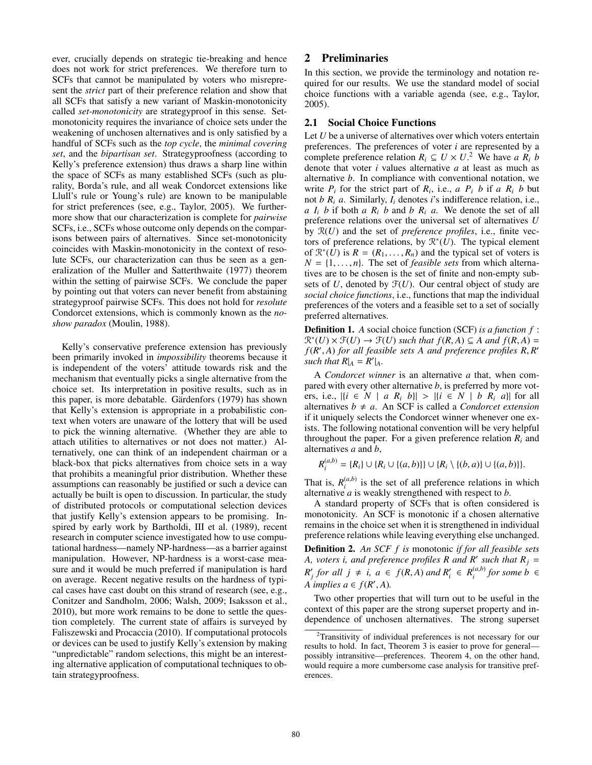ever, crucially depends on strategic tie-breaking and hence does not work for strict preferences. We therefore turn to SCFs that cannot be manipulated by voters who misrepresent the *strict* part of their preference relation and show that all SCFs that satisfy a new variant of Maskin-monotonicity called *set-monotonicity* are strategyproof in this sense. Setmonotonicity requires the invariance of choice sets under the weakening of unchosen alternatives and is only satisfied by a handful of SCFs such as the *top cycle*, the *minimal covering set*, and the *bipartisan set*. Strategyproofness (according to Kelly's preference extension) thus draws a sharp line within the space of SCFs as many established SCFs (such as plurality, Borda's rule, and all weak Condorcet extensions like Llull's rule or Young's rule) are known to be manipulable for strict preferences (see, e.g., Taylor, 2005). We furthermore show that our characterization is complete for *pairwise* SCFs, i.e., SCFs whose outcome only depends on the comparisons between pairs of alternatives. Since set-monotonicity coincides with Maskin-monotonicity in the context of resolute SCFs, our characterization can thus be seen as a generalization of the Muller and Satterthwaite (1977) theorem within the setting of pairwise SCFs. We conclude the paper by pointing out that voters can never benefit from abstaining strategyproof pairwise SCFs. This does not hold for *resolute* Condorcet extensions, which is commonly known as the *noshow paradox* (Moulin, 1988).

Kelly's conservative preference extension has previously been primarily invoked in *impossibility* theorems because it is independent of the voters' attitude towards risk and the mechanism that eventually picks a single alternative from the choice set. Its interpretation in positive results, such as in this paper, is more debatable. Gärdenfors (1979) has shown that Kelly's extension is appropriate in a probabilistic context when voters are unaware of the lottery that will be used to pick the winning alternative. (Whether they are able to attach utilities to alternatives or not does not matter.) Alternatively, one can think of an independent chairman or a black-box that picks alternatives from choice sets in a way that prohibits a meaningful prior distribution. Whether these assumptions can reasonably be justified or such a device can actually be built is open to discussion. In particular, the study of distributed protocols or computational selection devices that justify Kelly's extension appears to be promising. Inspired by early work by Bartholdi, III et al. (1989), recent research in computer science investigated how to use computational hardness—namely NP-hardness—as a barrier against manipulation. However, NP-hardness is a worst-case measure and it would be much preferred if manipulation is hard on average. Recent negative results on the hardness of typical cases have cast doubt on this strand of research (see, e.g., Conitzer and Sandholm, 2006; Walsh, 2009; Isaksson et al., 2010), but more work remains to be done to settle the question completely. The current state of affairs is surveyed by Faliszewski and Procaccia (2010). If computational protocols or devices can be used to justify Kelly's extension by making "unpredictable" random selections, this might be an interesting alternative application of computational techniques to obtain strategyproofness.

## 2 Preliminaries

In this section, we provide the terminology and notation required for our results. We use the standard model of social choice functions with a variable agenda (see, e.g., Taylor, 2005).

#### 2.1 Social Choice Functions

Let *U* be a universe of alternatives over which voters entertain preferences. The preferences of voter *i* are represented by a complete preference relation  $R_i \subseteq U \times U$ <sup>2</sup>. We have *a*  $R_i$  *b* denote that voter *i* values alternative *a* at least as much as alternative *b*. In compliance with conventional notation, we write  $P_i$  for the strict part of  $R_i$ , i.e.,  $a \ P_i \ b$  if  $a \ R_i \ b$  but not *b Ri a*. Similarly, *Ii* denotes *i*'s indifference relation, i.e., *a*  $I_i$  *b* if both *a*  $R_i$  *b* and *b*  $R_i$  *a*. We denote the set of all preference relations over the universal set of alternatives *U* by R(*U*) and the set of *preference profiles*, i.e., finite vectors of preference relations, by R<sup>∗</sup>(*U*). The typical element of  $\mathbb{R}^*(U)$  is  $R = (R_1, \ldots, R_n)$  and the typical set of voters is  $N = \{1, \ldots, n\}$ . The set of *feasible sets* from which alternatives are to be chosen is the set of finite and non-empty subsets of  $U$ , denoted by  $\mathcal{F}(U)$ . Our central object of study are *social choice functions*, i.e., functions that map the individual preferences of the voters and a feasible set to a set of socially preferred alternatives.

Definition 1. *A* social choice function (SCF) *is a function f* :  $\mathcal{R}^*(U) \times \mathcal{F}(U) \rightarrow \mathcal{F}(U)$  *such that*  $f(R, A) \subseteq A$  *and*  $f(R, A) =$ *f*(*R* , *A*) *for all feasible sets A and preference profiles R*, *R such that*  $R|_A = \mathbb{R}'|_A$ .

A *Condorcet winner* is an alternative *a* that, when compared with every other alternative *b*, is preferred by more voters, i.e.,  $|\{i \in N \mid a R_i b\}| > |\{i \in N \mid b R_i a\}|$  for all alternatives  $b \neq a$ . An SCF is called a *Condorcet extension* if it uniquely selects the Condorcet winner whenever one exists. The following notational convention will be very helpful throughout the paper. For a given preference relation  $R_i$  and alternatives *a* and *b*,

$$
R_i^{(a,b)} = \{R_i\} \cup \{R_i \cup \{(a,b)\}\} \cup \{R_i \setminus \{(b,a)\} \cup \{(a,b)\}\}.
$$

That is,  $R_i^{(a,b)}$  is the set of all preference relations in which alternative *a* is weakly strengthened with respect to *b*.

A standard property of SCFs that is often considered is monotonicity. An SCF is monotonic if a chosen alternative remains in the choice set when it is strengthened in individual preference relations while leaving everything else unchanged.

Definition 2. *An SCF f is* monotonic *if for all feasible sets A, voters i, and preference profiles R and R' such that*  $R_j =$  $R'_{j}$  *for all*  $j \neq i$ ,  $a \in f(R, A)$  *and*  $R'_{i} \in R_{i}^{(a,b)}$  *for some*  $b \in A$ *A implies*  $a \in f(R', A)$ *.* 

Two other properties that will turn out to be useful in the context of this paper are the strong superset property and independence of unchosen alternatives. The strong superset

<sup>2</sup>Transitivity of individual preferences is not necessary for our results to hold. In fact, Theorem 3 is easier to prove for general possibly intransitive—preferences. Theorem 4, on the other hand, would require a more cumbersome case analysis for transitive preferences.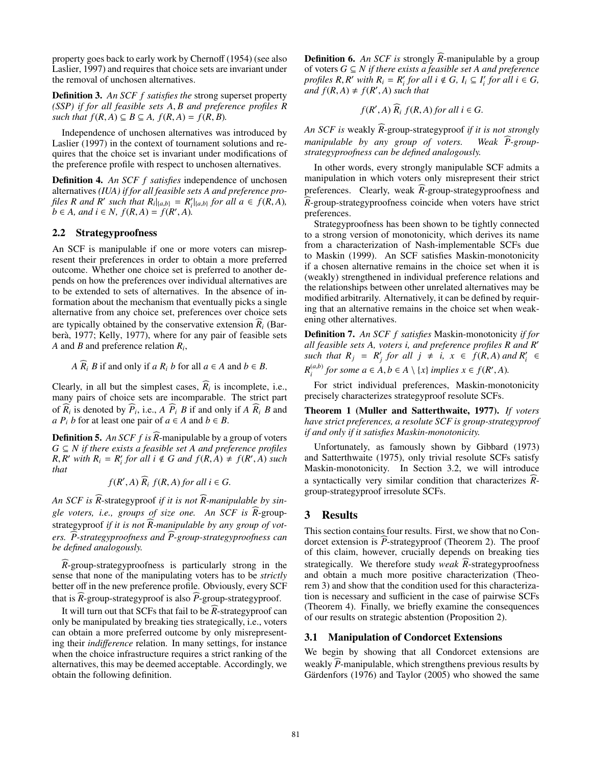property goes back to early work by Chernoff (1954) (see also Laslier, 1997) and requires that choice sets are invariant under the removal of unchosen alternatives.

Definition 3. *An SCF f satisfies the* strong superset property *(SSP) if for all feasible sets A*, *B and preference profiles R such that*  $f(R, A) ⊆ B ⊆ A$ ,  $f(R, A) = f(R, B)$ .

Independence of unchosen alternatives was introduced by Laslier (1997) in the context of tournament solutions and requires that the choice set is invariant under modifications of the preference profile with respect to unchosen alternatives.

Definition 4. *An SCF f satisfies* independence of unchosen alternatives *(IUA) if for all feasible sets A and preference profiles R and R' such that R<sub>i</sub>*|<sub>{*a,b*}</sub> = *R*<sub>*i*</sub>|<sub>{*a,b*}</sub> *for all a*  $\in$  *f*(*R,A*)*, b* ∈ *A*, and *i* ∈ *N*,  $f(R, A) = f(R', A)$ .

## 2.2 Strategyproofness

An SCF is manipulable if one or more voters can misrepresent their preferences in order to obtain a more preferred outcome. Whether one choice set is preferred to another depends on how the preferences over individual alternatives are to be extended to sets of alternatives. In the absence of information about the mechanism that eventually picks a single alternative from any choice set, preferences over choice sets are typically obtained by the conservative extension  $R_i$  (Barberà, 1977; Kelly, 1977), where for any pair of feasible sets *A* and *B* and preference relation *Ri*,

*A*  $\overline{R_i}$  *B* if and only if *a*  $\overline{R_i}$  *b* for all  $a \in A$  and  $b \in B$ .

Clearly, in all but the simplest cases,  $R_i$  is incomplete, i.e., many pairs of choice sets are incomparable. The strict part of  $R_i$  is denoted by  $P_i$ , i.e.,  $A \, P_i \, B$  if and only if  $A \, R_i \, B$  and *a*  $P_i$  *b* for at least one pair of  $a \in A$  and  $b \in B$ .

Definition 5. *An SCF f is R* --manipulable by a group of voters *G* ⊆ *N if there exists a feasible set A and preference profiles*  $R, R'$  *with*  $R_i = R'_i$  *for all i*  $\notin G$  *and*  $f(R, A) \neq f(R', A)$  *such that*

$$
f(R', A) \widehat{R}_i f(R, A)
$$
 for all  $i \in G$ .

An SCF is R-strategyproof *if it is not* R-manipulable by single voters, i.e., groups of size one. An SCF is R-groupstrategyproof *if it is not R-manipulable by any group of vot-* ers. P-strategyproofness and P-group-strategyproofness can *be defined analogously.*

*R* --group-strategyproofness is particularly strong in the sense that none of the manipulating voters has to be *strictly* better off in the new preference profile. Obviously, every SCF that is *R*-group-strategyproof is also *P*-group-strategyproof.

It will turn out that SCFs that fail to be *R*-strategyproof can only be manipulated by breaking ties strategically, i.e., voters can obtain a more preferred outcome by only misrepresenting their *indi*ff*erence* relation. In many settings, for instance when the choice infrastructure requires a strict ranking of the alternatives, this may be deemed acceptable. Accordingly, we obtain the following definition.

Definition 6. An SCF is strongly R-manipulable by a group of voters *G* ⊆ *N if there exists a feasible set A and preference profiles*  $R, R'$  *with*  $R_i = R'_i$  *for all i*  $\notin G$ ,  $I_i \subseteq I'_i$  *for all i*  $\in G$ ,  $\int f(R,A) \neq f(R',A)$  *such that* 

$$
f(R', A) \widehat{R}_i f(R, A)
$$
 for all  $i \in G$ .

*An SCF is* weakly *R* --group-strategyproof *if it is not strongly manipulable by any group of voters.* Weak  $\widehat{P}$ -group*strategyproofness can be defined analogously.*

In other words, every strongly manipulable SCF admits a manipulation in which voters only misrepresent their strict preferences. Clearly, weak *R*-group-strategyproofness and *R* --group-strategyproofness coincide when voters have strict preferences.

Strategyproofness has been shown to be tightly connected to a strong version of monotonicity, which derives its name from a characterization of Nash-implementable SCFs due to Maskin (1999). An SCF satisfies Maskin-monotonicity if a chosen alternative remains in the choice set when it is (weakly) strengthened in individual preference relations and the relationships between other unrelated alternatives may be modified arbitrarily. Alternatively, it can be defined by requiring that an alternative remains in the choice set when weakening other alternatives.

Definition 7. *An SCF f satisfies* Maskin-monotonicity *if for all feasible sets A, voters i, and preference profiles R and R*  $such$  *that*  $R_j = R'_j$  *for all*  $j \neq i$ ,  $x \in f(R, A)$  *and*  $R'_i \in$  $R_i^{(a,b)}$  *for some*  $a \in A, b \in A \setminus \{x\}$  *implies*  $x \in f(R', A)$ *.* 

For strict individual preferences, Maskin-monotonicity precisely characterizes strategyproof resolute SCFs.

Theorem 1 (Muller and Satterthwaite, 1977). *If voters have strict preferences, a resolute SCF is group-strategyproof if and only if it satisfies Maskin-monotonicity.*

Unfortunately, as famously shown by Gibbard (1973) and Satterthwaite (1975), only trivial resolute SCFs satisfy Maskin-monotonicity. In Section 3.2, we will introduce a syntactically very similar condition that characterizes *R* - group-strategyproof irresolute SCFs.

## 3 Results

This section contains four results. First, we show that no Condorcet extension is *P*-strategyproof (Theorem 2). The proof of this claim, however, crucially depends on breaking ties strategically. We therefore study *weak R*-strategyproofness and obtain a much more positive characterization (Theorem 3) and show that the condition used for this characterization is necessary and sufficient in the case of pairwise SCFs (Theorem 4). Finally, we briefly examine the consequences of our results on strategic abstention (Proposition 2).

#### 3.1 Manipulation of Condorcet Extensions

We begin by showing that all Condorcet extensions are weakly P-manipulable, which strengthens previous results by Gärdenfors  $(1976)$  and Taylor  $(2005)$  who showed the same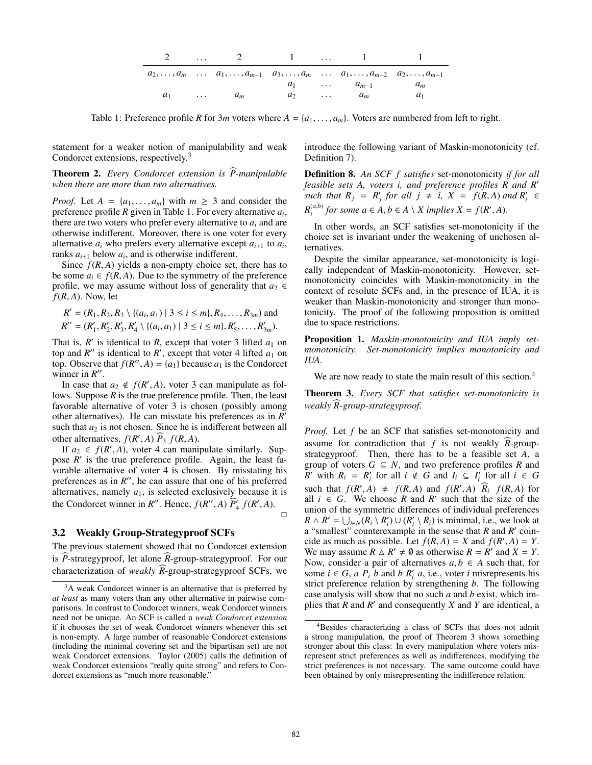|  | 2  2 1  1                                                                                                                      |  |                       |         |
|--|--------------------------------------------------------------------------------------------------------------------------------|--|-----------------------|---------|
|  | $a_1, \ldots, a_m \ldots a_1, \ldots, a_{m-1} \ldots a_3, \ldots, a_m \ldots a_1, \ldots, a_{m-2} \ldots a_2, \ldots, a_{m-1}$ |  |                       |         |
|  |                                                                                                                                |  | $a_1$ $a_{m-1}$ $a_m$ |         |
|  | $a_1$ $a_m$                                                                                                                    |  | $a_2$ $a_m$           | $\mu_1$ |

Table 1: Preference profile *R* for 3*m* voters where  $A = \{a_1, \ldots, a_m\}$ . Voters are numbered from left to right.

statement for a weaker notion of manipulability and weak Condorcet extensions, respectively.<sup>3</sup>

Theorem 2. *Every Condorcet extension is P-manipulable when there are more than two alternatives.*

*Proof.* Let  $A = \{a_1, \ldots, a_m\}$  with  $m \geq 3$  and consider the preference profile *R* given in Table 1. For every alternative *ai*, there are two voters who prefer every alternative to *ai* and are otherwise indifferent. Moreover, there is one voter for every alternative  $a_i$  who prefers every alternative except  $a_{i+1}$  to  $a_i$ , ranks  $a_{i+1}$  below  $a_i$ , and is otherwise indifferent.

Since  $f(R, A)$  yields a non-empty choice set, there has to be some  $a_i \in f(R, A)$ . Due to the symmetry of the preference profile, we may assume without loss of generality that  $a_2 \in$  $f(R, A)$ . Now, let

$$
R' = (R_1, R_2, R_3 \setminus \{(a_i, a_1) \mid 3 \le i \le m\}, R_4, \dots, R_{3m})
$$
 and  

$$
R'' = (R'_1, R'_2, R'_3, R'_4 \setminus \{(a_i, a_1) \mid 3 \le i \le m\}, R'_5, \dots, R'_{3m}).
$$

That is,  $R'$  is identical to  $R$ , except that voter 3 lifted  $a_1$  on top and  $R''$  is identical to  $R'$ , except that voter 4 lifted  $a_1$  on top. Observe that  $f(R'', A) = \{a_1\}$  because  $a_1$  is the Condorcet winner in  $R^{\prime\prime}$ .

In case that  $a_2 \notin f(R', A)$ , voter 3 can manipulate as follows. Suppose *R* is the true preference profile. Then, the least favorable alternative of voter 3 is chosen (possibly among other alternatives). He can misstate his preferences as in *R* such that  $a_2$  is not chosen. Since he is indifferent between all other alternatives,  $f(R', A)$   $\widehat{P}_3$   $f(R, A)$ .

If  $a_2 \in f(R', A)$ , voter 4 can manipulate similarly. Suppose  $R'$  is the true preference profile. Again, the least favorable alternative of voter 4 is chosen. By misstating his preferences as in  $R''$ , he can assure that one of his preferred alternatives, namely  $a_1$ , is selected exclusively because it is the Condorcet winner in *R*<sup>*n*</sup>. Hence,  $f(R'', A) \widetilde{P}_4 f(R', A)$ .  $\Box$ 

#### 3.2 Weakly Group-Strategyproof SCFs

The previous statement showed that no Condorcet extension is *P*-strategyproof, let alone *R*-group-strategyproof. For our characterization of *weakly R*-group-strategyproof SCFs, we

introduce the following variant of Maskin-monotonicity (cf. Definition 7).

Definition 8. *An SCF f satisfies* set-monotonicity *if for all feasible sets A, voters i, and preference profiles R and R such that*  $R_j = R'_j$  *for all*  $j \neq i$ ,  $X = f(R, A)$  *and*  $R'_i \in$  $R_i^{(a,b)}$  for some  $a \in A, b \in A \setminus X$  implies  $X = f(R', A)$ .

In other words, an SCF satisfies set-monotonicity if the choice set is invariant under the weakening of unchosen alternatives.

Despite the similar appearance, set-monotonicity is logically independent of Maskin-monotonicity. However, setmonotonicity coincides with Maskin-monotonicity in the context of resolute SCFs and, in the presence of IUA, it is weaker than Maskin-monotonicity and stronger than monotonicity. The proof of the following proposition is omitted due to space restrictions.

Proposition 1. *Maskin-monotonicity and IUA imply setmonotonicity. Set-monotonicity implies monotonicity and IUA.*

We are now ready to state the main result of this section.<sup>4</sup>

Theorem 3. *Every SCF that satisfies set-monotonicity is weakly R-group-strategyproof.* -

*Proof.* Let *f* be an SCF that satisfies set-monotonicity and assume for contradiction that  $f$  is not weakly  $R$ -groupstrategyproof. Then, there has to be a feasible set *A*, a group of voters  $G \subseteq N$ , and two preference profiles  $R$  and *R* with  $R_i = R'_i$  for all  $i \notin G$  and  $I_i \subseteq I'_i$  for all  $i \in G$ such that  $f(R', A) \neq f(R, A)$  and  $f(R', A)$   $\widehat{R}_i$   $f(R, A)$  for all  $i \in G$ . We choose R and R' such that the size of the union of the symmetric differences of individual preferences  $R \triangle R' = \bigcup_{i \in N} (R_i \setminus R'_i) \cup (R'_i \setminus R_i)$  is minimal, i.e., we look at a "smallest" counterexample in the sense that *R* and *R* coincide as much as possible. Let  $f(R, A) = X$  and  $f(R', A) = Y$ . We may assume  $R \triangle R' \neq \emptyset$  as otherwise  $R = R'$  and  $X = Y$ . Now, consider a pair of alternatives  $a, b \in A$  such that, for some  $i \in G$ , *a*  $P_i$  *b* and *b*  $R'_i$  *a*, i.e., voter *i* misrepresents his strict preference relation by strengthening *b*. The following case analysis will show that no such *a* and *b* exist, which implies that *R* and *R* and consequently *X* and *Y* are identical, a

 $3A$  weak Condorcet winner is an alternative that is preferred by *at least* as many voters than any other alternative in pairwise comparisons. In contrast to Condorcet winners, weak Condorcet winners need not be unique. An SCF is called a *weak Condorcet extension* if it chooses the set of weak Condorcet winners whenever this set is non-empty. A large number of reasonable Condorcet extensions (including the minimal covering set and the bipartisan set) are not weak Condorcet extensions. Taylor (2005) calls the definition of weak Condorcet extensions "really quite strong" and refers to Condorcet extensions as "much more reasonable."

<sup>&</sup>lt;sup>4</sup>Besides characterizing a class of SCFs that does not admit a strong manipulation, the proof of Theorem 3 shows something stronger about this class: In every manipulation where voters misrepresent strict preferences as well as indifferences, modifying the strict preferences is not necessary. The same outcome could have been obtained by only misrepresenting the indifference relation.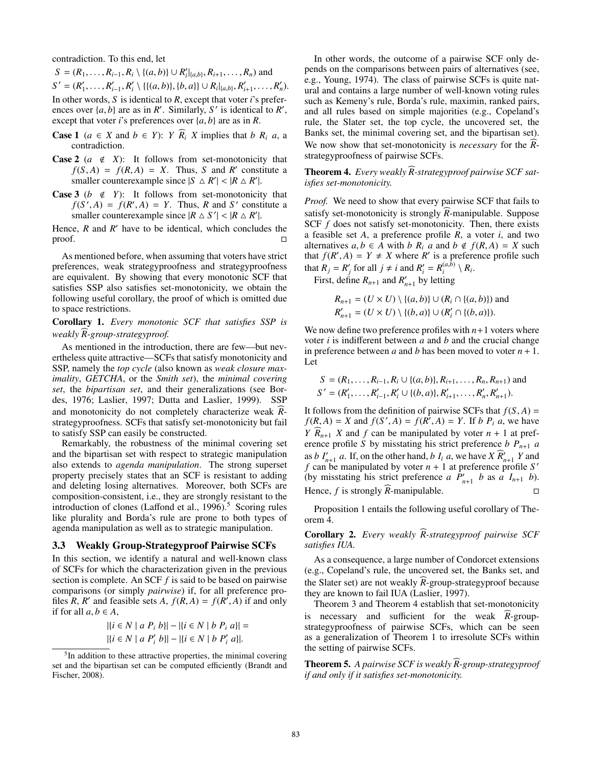contradiction. To this end, let

*S* = ( $R_1$ ,...,  $R_{i-1}$ ,  $R_i \setminus \{(a, b)\}$  ∪  $R'_i|_{\{a, b\}}$ ,  $R_{i+1}$ ,...,  $R_n$ ) and  $S' = (R'_1, \ldots, R'_{i-1}, R'_i \setminus \{ \{ (a, b) \}, \{ b, a \} \} \cup R_i |_{\{a, b\}}, R'_{i+1}, \ldots, R'_n).$ 

In other words, *S* is identical to *R*, except that voter *i*'s preferences over  $\{a, b\}$  are as in *R'*. Similarly, *S'* is identical to *R'*, except that voter *i*'s preferences over {*a*, *b*} are as in *R*.

- **Case 1** ( $a \in X$  and  $b \in Y$ ): *Y*  $\overline{R_i}$  *X* implies that *b*  $R_i$  *a*, a contradiction.
- **Case 2** ( $a \notin X$ ): It follows from set-monotonicity that  $f(S, A) = f(R, A) = X$ . Thus, *S* and *R'* constitute a smaller counterexample since  $|S \triangle R'| < |R \triangle R'|$ .
- **Case 3** ( $b \notin Y$ ): It follows from set-monotonicity that  $f(S', A) = f(R', A) = Y$ . Thus, *R* and *S'* constitute a smaller counterexample since  $|R \triangle S'| < |R \triangle R'|$ .

Hence,  $R$  and  $R'$  have to be identical, which concludes the  $\Box$ 

As mentioned before, when assuming that voters have strict preferences, weak strategyproofness and strategyproofness are equivalent. By showing that every monotonic SCF that satisfies SSP also satisfies set-monotonicity, we obtain the following useful corollary, the proof of which is omitted due to space restrictions.

Corollary 1. *Every monotonic SCF that satisfies SSP is weakly R-group-strategyproof.* -

As mentioned in the introduction, there are few—but nevertheless quite attractive—SCFs that satisfy monotonicity and SSP, namely the *top cycle* (also known as *weak closure maximality*, *GETCHA*, or the *Smith set*), the *minimal covering set*, the *bipartisan set*, and their generalizations (see Bordes, 1976; Laslier, 1997; Dutta and Laslier, 1999). SSP and monotonicity do not completely characterize weak Rstrategyproofness. SCFs that satisfy set-monotonicity but fail to satisfy SSP can easily be constructed.

Remarkably, the robustness of the minimal covering set and the bipartisan set with respect to strategic manipulation also extends to *agenda manipulation*. The strong superset property precisely states that an SCF is resistant to adding and deleting losing alternatives. Moreover, both SCFs are composition-consistent, i.e., they are strongly resistant to the introduction of clones (Laffond et al.,  $1996$ ).<sup>5</sup> Scoring rules like plurality and Borda's rule are prone to both types of agenda manipulation as well as to strategic manipulation.

#### 3.3 Weakly Group-Strategyproof Pairwise SCFs

In this section, we identify a natural and well-known class of SCFs for which the characterization given in the previous section is complete. An SCF *f* is said to be based on pairwise comparisons (or simply *pairwise*) if, for all preference profiles *R*, *R'* and feasible sets *A*,  $f(R, A) = f(R', A)$  if and only if for all  $a, b \in A$ ,

$$
|\{i \in N \mid a \ P_i \ b\}| - |\{i \in N \mid b \ P_i \ a\}| = |\{i \in N \mid a \ P'_i \ b\}| - |\{i \in N \mid b \ P'_i \ a\}|.
$$

In other words, the outcome of a pairwise SCF only depends on the comparisons between pairs of alternatives (see, e.g., Young, 1974). The class of pairwise SCFs is quite natural and contains a large number of well-known voting rules such as Kemeny's rule, Borda's rule, maximin, ranked pairs, and all rules based on simple majorities (e.g., Copeland's rule, the Slater set, the top cycle, the uncovered set, the Banks set, the minimal covering set, and the bipartisan set). We now show that set-monotonicity is *necessary* for the *R*strategyproofness of pairwise SCFs.

Theorem 4. *Every weakly R-strategyproof pairwise SCF sat- isfies set-monotonicity.*

*Proof.* We need to show that every pairwise SCF that fails to satisfy set-monotonicity is strongly *R*-manipulable. Suppose SCF *f* does not satisfy set-monotonicity. Then, there exists a feasible set *A*, a preference profile *R*, a voter *i*, and two alternatives  $a, b \in A$  with  $b \, R_i \, a$  and  $b \notin f(R, A) = X$  such that  $f(R', A) = Y \neq X$  where  $R'$  is a preference profile such that  $R_j = R'_j$  for all  $j \neq i$  and  $R'_i = R_i^{(a,b)} \setminus R_i$ .

First, define  $R_{n+1}$  and  $R'_{n+1}$  by letting

$$
R_{n+1} = (U \times U) \setminus \{(a, b)\} \cup (R_i \cap \{(a, b)\})
$$
 and  

$$
R'_{n+1} = (U \times U) \setminus \{(b, a)\} \cup (R'_i \cap \{(b, a)\}).
$$

We now define two preference profiles with  $n+1$  voters where voter *i* is indifferent between *a* and *b* and the crucial change in preference between *a* and *b* has been moved to voter  $n + 1$ . Let

$$
S = (R_1, \dots, R_{i-1}, R_i \cup \{(a, b)\}, R_{i+1}, \dots, R_n, R_{n+1}) \text{ and}
$$
  
\n
$$
S' = (R'_1, \dots, R'_{i-1}, R'_i \cup \{(b, a)\}, R'_{i+1}, \dots, R'_n, R'_{n+1}).
$$

It follows from the definition of pairwise SCFs that  $f(S, A) =$  $f(R, A) = X$  and  $f(S', A) = f(R', A) = Y$ . If *b P<sub>i</sub> a*, we have *Y*  $R_{n+1}$  *X* and *f* can be manipulated by voter  $n + 1$  at preference profile *S* by misstating his strict preference *b*  $P_{n+1}$  *a* as *b*  $I'_{n+1}$  *a*. If, on the other hand, *b*  $I_i$  *a*, we have  $X \widehat{R}'_{n+1} Y$  and *f* can be manipulated by voter  $n + 1$  at preference profile *S'* (by misstating his strict preference *a*  $\hat{P}'_{n+1}$  *b* as *a*  $I_{n+1}$  *b*). Hence,  $f$  is strongly  $R$ -manipulable.  $\Box$  $\Box$ 

Proposition 1 entails the following useful corollary of Theorem 4.

Corollary 2. *Every weakly R-strategyproof pairwise SCF satisfies IUA.*

As a consequence, a large number of Condorcet extensions (e.g., Copeland's rule, the uncovered set, the Banks set, and the Slater set) are not weakly *R*-group-strategyproof because they are known to fail IUA (Laslier, 1997).

Theorem 3 and Theorem 4 establish that set-monotonicity is necessary and sufficient for the weak *R*-groupstrategyproofness of pairwise SCFs, which can be seen as a generalization of Theorem 1 to irresolute SCFs within the setting of pairwise SCFs.

Theorem 5. *A pairwise SCF is weakly R-group-strategyproof if and only if it satisfies set-monotonicity.*

<sup>&</sup>lt;sup>5</sup>In addition to these attractive properties, the minimal covering set and the bipartisan set can be computed efficiently (Brandt and Fischer, 2008).